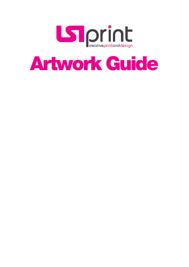

# Artwork Guide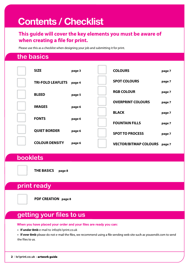## **Contents / Checklist**

### **This guide will cover the key elements you must be aware of**  when creating a file for print.

Please use this as a checklist when designing your job and submitting it for print.

## **the basics**

| <b>SIZE</b>              | page 3 | <b>COLOURS</b>               | page 7 |
|--------------------------|--------|------------------------------|--------|
| <b>TRI-FOLD LEAFLETS</b> | page 4 | <b>SPOT COLOURS</b>          | page 7 |
| <b>BLEED</b>             | page 5 | <b>RGB COLOUR</b>            | page 7 |
| <b>IMAGES</b>            | page 6 | <b>OVERPRINT COLOURS</b>     | page 7 |
| <b>FONTS</b>             |        | <b>BLACK</b>                 | page 7 |
|                          | page 6 | <b>FOUNTAIN FILLS</b>        | page 7 |
| <b>QUIET BORDER</b>      | page 6 | <b>SPOT TO PROCESS</b>       | page 7 |
| <b>COLOUR DENSITY</b>    | page 6 | <b>VECTOR/BITMAP COLOURS</b> | page 7 |

## **booklets**

**THE BASICS page 8**

## **print ready**

**PDF CREATION page 8**

## **getting your files to us**

**When you have placed your order and your files are ready you can:**

**• If under 8mb** e-mail to info@ls1print.co.uk

• If over 8mb please do not e-mail the files, we recommend using a file sending web site such as yousendit.com to send the files to us.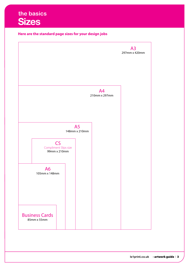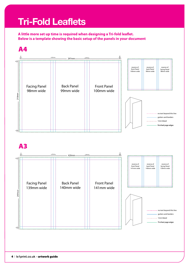## **Tri-Fold Leaflets**

A little more set up time is required when designing a Tri-fold leaflet. **Below is a template showing the basic setup of the panels in your document**

## A4



## A3

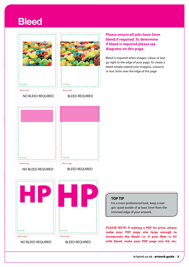## **Bleed**





#### NO BLEED REQUIRED



#### BLEED REQUIRED

**Please ensure all jobs have 3mm bleed if required. To determine if bleed is required please see diagrams on this page.**

Bleed is required when images, colour or text go right to the edge of your page. To create a bleed simply extend your image(s), colour(s) or text 3mm over the edge of the page





### NO BLEED REQUIRED BLEED REQUIRED



NO BLEED REQUIRED BLEED REQUIRED

### **TOP TIP**

For a more professional look, keep a margin/ quiet border of at least 5mm from the trimmed edge of your artwork.

PLEASE NOTE: If making a PDF for print, please make your PDF page size large enough to incorporate the bleed i.e. if your flyer is A5 with bleed, make your PDF page size A4, etc.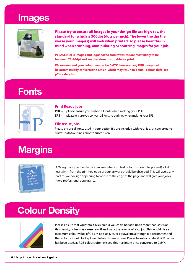## **Images**



Please try to ensure all images in your design file are high-res, the **standard for which is 300dpi (dots per inch). The lower the dpi the worse your image(s) will look when printed, so please bear this in mind when scanning, manipulating or sourcing images for your job.**

**PLEASE NOTE: Images and logos saved from websites are most likely to be between 72-96dpi and are therefore unsuitable for print.**

**We recommend your colour images be CMYK, however any RGB images will be automatically converted to CMYK which may result in a small colour shift (see p7 for details).**

## **Fonts**



#### **Print Ready jobs**

- **PDF** please ensure you embed all fonts when making your PDF.
- **EPS –** please ensure you convert all fonts to outlines when making your EPS.

#### **File Assist jobs**

Please ensure all fonts used in your design file are included with your job, or converted to curves/paths/outlines prior to submission.

## **Margins**



A"Margin or Quiet Border", (i.e. an area where no text or logos should be present), of at least 5mm from the trimmed edge of your artwork should be observed. This will avoid any part of your design appearing too close to the edge of the page and will give your job a more professional appearance.

## **Colour Density**



Please ensure that your total CMYK colour values do not add up to more than 340% as this density of ink may cause set-off and mark the reverse of your job. This would give a maximum colour value of C 85 M 85 Y 85 K 85 or equivalent, although it is recommended that colours should be kept well below this maximum. Please be extra careful if RGB colour has been used, as RGB colours often exceed this maximum once converted to CMYK.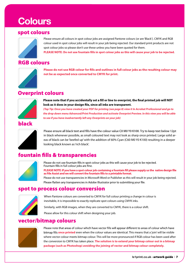## **Colours**

### spot colours



Please ensure all colours in spot colour jobs are assigned Pantone colours (or are 'Black'). CMYK and RGB colour used in spot colour jobs will result in your job being rejected. Our standard print products are not spot colour jobs so please don't use these unless you have been quoted for them. PLEASE NOTE: Do not use fountain fills in spot colour jobs as this will cause your job to be rejected.

### RGB colours



Please do not use RGB colour for fills and outlines in full colour jobs as the resulting colour may **not be as expected once converted to CMYK for print.**

### Overprint colours



Please note that if you accidentally set a fill or line to overprint, the final printed job will NOT look as it does in your design file, since all inks are transparent.

*(Top Tip: Once you have created your PDF for printing (see page 8) view it In Acrobat Professional and go to the drop down menu Advanced/Print Production and activate Overprint Preview. In this view you will be able to see if you have inadvertantly left any Overprints on your job)*

### black



Please ensure all black text and fills have the colour value C0 M0 Y0 K100. Try to keep text below 12pt in black whenever possible, as small coloured text may not look as sharp once printed. Large solid areas of black can be 'beefed up' with the addition of 60% Cyan (C60 M0 Y0 K100) resulting in a deeper looking black known as'rich black'.

## fountain fills & transparencies



Please do not use fountain fills in spot colour jobs as this will cause your job to be rejected. Fountain fills in full colour jobs are fine.

PLEASE NOTE: If you have a spot colour job containing a fountain fill please supply us the native design file as File Assist and we will convert the fountain fills to a printable format.

Please do not use transparencies in Microsoft Word or Publisher as this will result in your job being rejected. Please flatten any transparencies in Adobe Illustrator prior to submitting your file.

### spot to process colour conversion



When Pantone colours are converted to CMYK for full colour printing a change in colour is inevitable, it is impossible to exactly replicate spot colours using CMYK inks.

Similarly, with RGB images, when they are converted to CMYK, there is a colour shift.

Please allow for this colour shift when designing your job.

### vector/bitmap colours



Please note that areas of colour which have vector fills will appear different to areas of colour which have **once printed** even when the colour values are identical. This means that a 'join' will be visible where vector colour meets bitmap colour. This will be more pronounced if RGB colour has been used after the conversion to CMYK has taken place. **The solution is to extend your bitmap colour out in a bitmap package (such as Photoshop) avoiding the joining of vector and bitmap colour completely.**